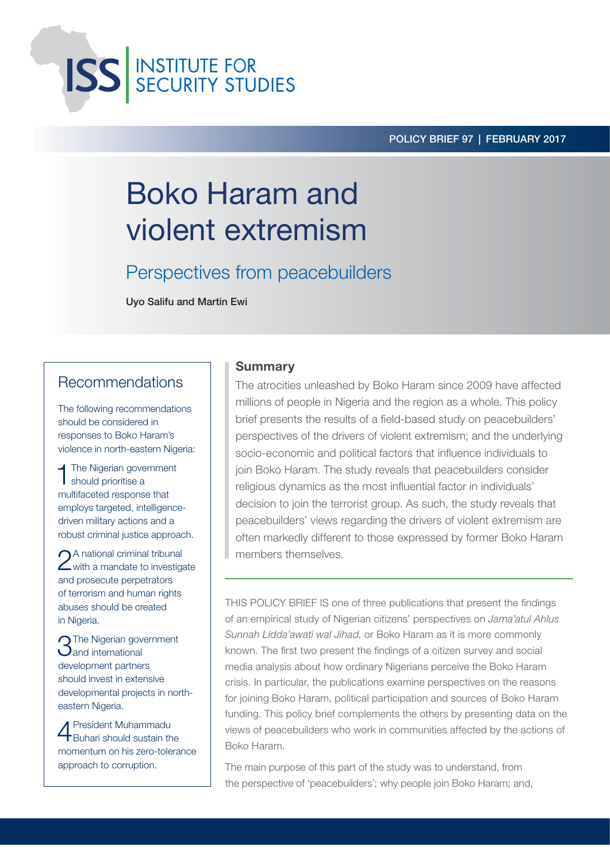

# Boko Haram and violent extremism

Perspectives from peacebuilders

**Uyo Salifu and Martin Ewi**

# Recommendations

The following recommendations should be considered in responses to Boko Haram's violence in north-eastern Nigeria:

**1** The Nigerian government should prioritise a multifaceted response that employs targeted, intelligencedriven military actions and a robust criminal justice approach.

2A national criminal tribunal<br>With a mandate to investigate and prosecute perpetrators of terrorism and human rights abuses should be created in Nigeria.

**n**The Nigerian government  $\bigcup$  and international development partners should invest in extensive developmental projects in northeastern Nigeria.

4 President Muhammadu Buhari should sustain the momentum on his zero-tolerance approach to corruption.

## **Summary**

The atrocities unleashed by Boko Haram since 2009 have affected millions of people in Nigeria and the region as a whole. This policy brief presents the results of a field-based study on peacebuilders' perspectives of the drivers of violent extremism; and the underlying socio-economic and political factors that influence individuals to join Boko Haram. The study reveals that peacebuilders consider religious dynamics as the most influential factor in individuals' decision to join the terrorist group. As such, the study reveals that peacebuilders' views regarding the drivers of violent extremism are often markedly different to those expressed by former Boko Haram members themselves.

THIS POLICY BRIEF IS one of three publications that present the findings of an empirical study of Nigerian citizens' perspectives on Jama'atul Ahlus Sunnah Lidda'awati wal Jihad, or Boko Haram as it is more commonly known. The first two present the findings of a citizen survey and social media analysis about how ordinary Nigerians perceive the Boko Haram crisis. In particular, the publications examine perspectives on the reasons for joining Boko Haram, political participation and sources of Boko Haram funding. This policy brief complements the others by presenting data on the views of peacebuilders who work in communities affected by the actions of Boko Haram.

The main purpose of this part of the study was to understand, from the perspective of 'peacebuilders'; why people join Boko Haram; and,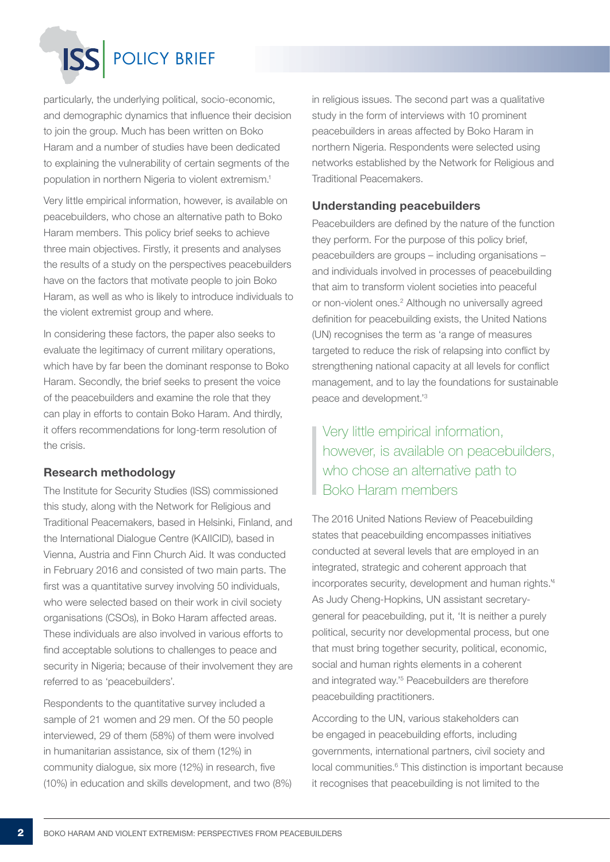particularly, the underlying political, socio-economic, and demographic dynamics that influence their decision to join the group. Much has been written on Boko Haram and a number of studies have been dedicated to explaining the vulnerability of certain segments of the population in northern Nigeria to violent extremism.1

Very little empirical information, however, is available on peacebuilders, who chose an alternative path to Boko Haram members. This policy brief seeks to achieve three main objectives. Firstly, it presents and analyses the results of a study on the perspectives peacebuilders have on the factors that motivate people to join Boko Haram, as well as who is likely to introduce individuals to the violent extremist group and where.

In considering these factors, the paper also seeks to evaluate the legitimacy of current military operations, which have by far been the dominant response to Boko Haram. Secondly, the brief seeks to present the voice of the peacebuilders and examine the role that they can play in efforts to contain Boko Haram. And thirdly, it offers recommendations for long-term resolution of the crisis.

# **Research methodology**

The Institute for Security Studies (ISS) commissioned this study, along with the Network for Religious and Traditional Peacemakers, based in Helsinki, Finland, and the International Dialogue Centre (KAIICID), based in Vienna, Austria and Finn Church Aid. It was conducted in February 2016 and consisted of two main parts. The first was a quantitative survey involving 50 individuals. who were selected based on their work in civil society organisations (CSOs), in Boko Haram affected areas. These individuals are also involved in various efforts to find acceptable solutions to challenges to peace and security in Nigeria; because of their involvement they are referred to as 'peacebuilders'.

Respondents to the quantitative survey included a sample of 21 women and 29 men. Of the 50 people interviewed, 29 of them (58%) of them were involved in humanitarian assistance, six of them (12%) in community dialogue, six more (12%) in research, five (10%) in education and skills development, and two (8%) in religious issues. The second part was a qualitative study in the form of interviews with 10 prominent peacebuilders in areas affected by Boko Haram in northern Nigeria. Respondents were selected using networks established by the Network for Religious and Traditional Peacemakers.

# **Understanding peacebuilders**

Peacebuilders are defined by the nature of the function they perform. For the purpose of this policy brief, peacebuilders are groups – including organisations – and individuals involved in processes of peacebuilding that aim to transform violent societies into peaceful or non-violent ones.<sup>2</sup> Although no universally agreed definition for peacebuilding exists, the United Nations (UN) recognises the term as 'a range of measures targeted to reduce the risk of relapsing into conflict by strengthening national capacity at all levels for conflict management, and to lay the foundations for sustainable peace and development.'3

# Very little empirical information, however, is available on peacebuilders, who chose an alternative path to Boko Haram members

The 2016 United Nations Review of Peacebuilding states that peacebuilding encompasses initiatives conducted at several levels that are employed in an integrated, strategic and coherent approach that incorporates security, development and human rights.'4 As Judy Cheng-Hopkins, UN assistant secretarygeneral for peacebuilding, put it, 'It is neither a purely political, security nor developmental process, but one that must bring together security, political, economic, social and human rights elements in a coherent and integrated way.'5 Peacebuilders are therefore peacebuilding practitioners.

According to the UN, various stakeholders can be engaged in peacebuilding efforts, including governments, international partners, civil society and local communities.<sup>6</sup> This distinction is important because it recognises that peacebuilding is not limited to the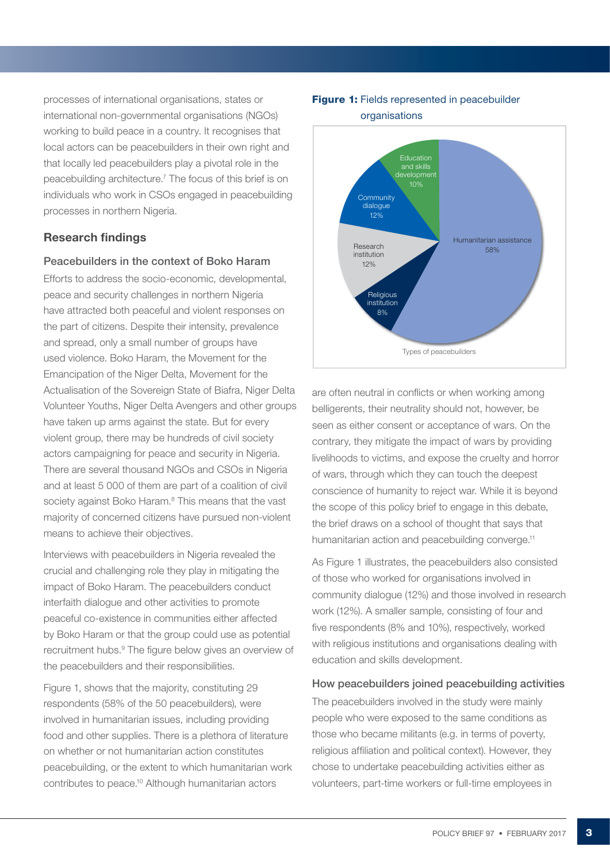processes of international organisations, states or international non-governmental organisations (NGOs) working to build peace in a country. It recognises that local actors can be peacebuilders in their own right and that locally led peacebuilders play a pivotal role in the peacebuilding architecture.7 The focus of this brief is on individuals who work in CSOs engaged in peacebuilding processes in northern Nigeria.

#### **Research findings**

#### **Peacebuilders in the context of Boko Haram**

Efforts to address the socio-economic, developmental, peace and security challenges in northern Nigeria have attracted both peaceful and violent responses on the part of citizens. Despite their intensity, prevalence and spread, only a small number of groups have used violence. Boko Haram, the Movement for the Emancipation of the Niger Delta, Movement for the Actualisation of the Sovereign State of Biafra, Niger Delta Volunteer Youths, Niger Delta Avengers and other groups have taken up arms against the state. But for every violent group, there may be hundreds of civil society actors campaigning for peace and security in Nigeria. There are several thousand NGOs and CSOs in Nigeria and at least 5 000 of them are part of a coalition of civil society against Boko Haram.<sup>8</sup> This means that the vast majority of concerned citizens have pursued non-violent means to achieve their objectives.

Interviews with peacebuilders in Nigeria revealed the crucial and challenging role they play in mitigating the impact of Boko Haram. The peacebuilders conduct interfaith dialogue and other activities to promote peaceful co-existence in communities either affected by Boko Haram or that the group could use as potential recruitment hubs.<sup>9</sup> The figure below gives an overview of the peacebuilders and their responsibilities.

Figure 1, shows that the majority, constituting 29 respondents (58% of the 50 peacebuilders), were involved in humanitarian issues, including providing food and other supplies. There is a plethora of literature on whether or not humanitarian action constitutes peacebuilding, or the extent to which humanitarian work contributes to peace.10 Although humanitarian actors





are often neutral in conflicts or when working among belligerents, their neutrality should not, however, be seen as either consent or acceptance of wars. On the contrary, they mitigate the impact of wars by providing livelihoods to victims, and expose the cruelty and horror of wars, through which they can touch the deepest conscience of humanity to reject war. While it is beyond the scope of this policy brief to engage in this debate, the brief draws on a school of thought that says that humanitarian action and peacebuilding converge.<sup>11</sup>

As Figure 1 illustrates, the peacebuilders also consisted of those who worked for organisations involved in community dialogue (12%) and those involved in research work (12%). A smaller sample, consisting of four and five respondents (8% and 10%), respectively, worked with religious institutions and organisations dealing with education and skills development.

#### **How peacebuilders joined peacebuilding activities**

The peacebuilders involved in the study were mainly people who were exposed to the same conditions as those who became militants (e.g. in terms of poverty, religious affiliation and political context). However, they chose to undertake peacebuilding activities either as volunteers, part-time workers or full-time employees in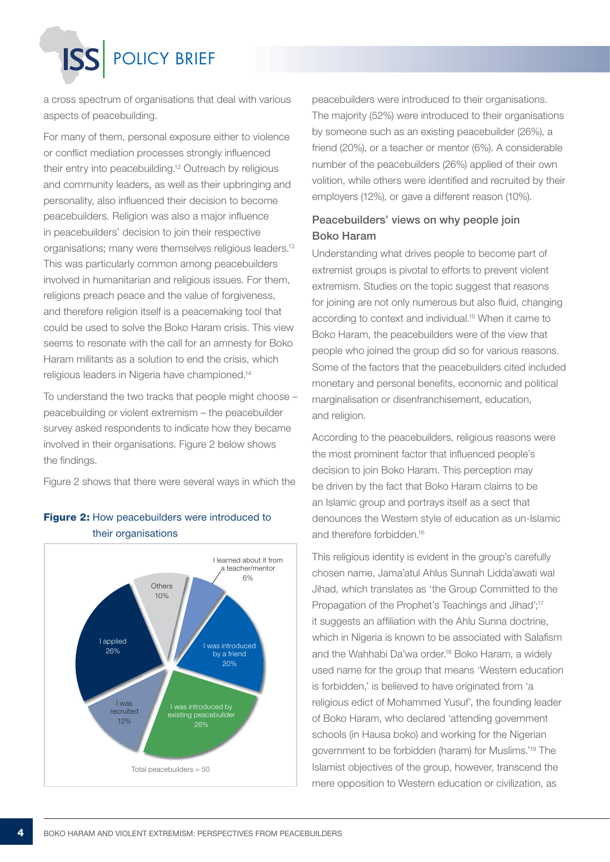a cross spectrum of organisations that deal with various aspects of peacebuilding.

For many of them, personal exposure either to violence or conflict mediation processes strongly influenced their entry into peacebuilding.12 Outreach by religious and community leaders, as well as their upbringing and personality, also influenced their decision to become peacebuilders. Religion was also a major influence in peacebuilders' decision to join their respective organisations; many were themselves religious leaders.13 This was particularly common among peacebuilders involved in humanitarian and religious issues. For them, religions preach peace and the value of forgiveness, and therefore religion itself is a peacemaking tool that could be used to solve the Boko Haram crisis. This view seems to resonate with the call for an amnesty for Boko Haram militants as a solution to end the crisis, which religious leaders in Nigeria have championed.14

To understand the two tracks that people might choose – peacebuilding or violent extremism – the peacebuilder survey asked respondents to indicate how they became involved in their organisations. Figure 2 below shows the findings.

Figure 2 shows that there were several ways in which the



## **Figure 2:** How peacebuilders were introduced to their organisations

peacebuilders were introduced to their organisations. The majority (52%) were introduced to their organisations by someone such as an existing peacebuilder (26%), a friend (20%), or a teacher or mentor (6%). A considerable number of the peacebuilders (26%) applied of their own volition, while others were identified and recruited by their employers (12%), or gave a different reason (10%).

# **Peacebuilders' views on why people join Boko Haram**

Understanding what drives people to become part of extremist groups is pivotal to efforts to prevent violent extremism. Studies on the topic suggest that reasons for joining are not only numerous but also fluid, changing according to context and individual.15 When it came to Boko Haram, the peacebuilders were of the view that people who joined the group did so for various reasons. Some of the factors that the peacebuilders cited included monetary and personal benefits, economic and political marginalisation or disenfranchisement, education, and religion.

According to the peacebuilders, religious reasons were the most prominent factor that influenced people's decision to join Boko Haram. This perception may be driven by the fact that Boko Haram claims to be an Islamic group and portrays itself as a sect that denounces the Western style of education as un-Islamic and therefore forbidden<sup>16</sup>

This religious identity is evident in the group's carefully chosen name, Jama'atul Ahlus Sunnah Lidda'awati wal Jihad, which translates as 'the Group Committed to the Propagation of the Prophet's Teachings and Jihad':<sup>17</sup> it suggests an affiliation with the Ahlu Sunna doctrine, which in Nigeria is known to be associated with Salafism and the Wahhabi Da'wa order.18 Boko Haram, a widely used name for the group that means 'Western education is forbidden,' is believed to have originated from 'a religious edict of Mohammed Yusuf', the founding leader of Boko Haram, who declared 'attending government schools (in Hausa boko) and working for the Nigerian government to be forbidden (haram) for Muslims.'19 The Islamist objectives of the group, however, transcend the mere opposition to Western education or civilization, as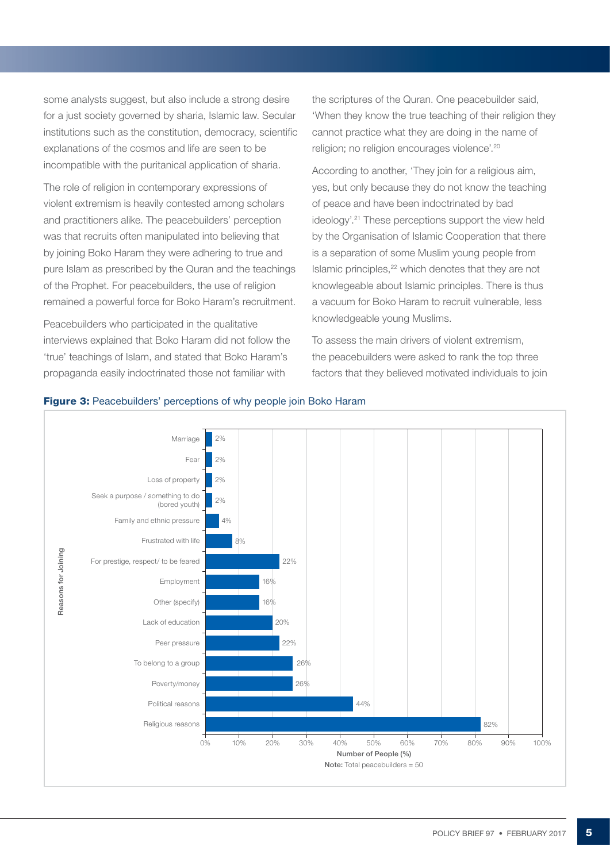some analysts suggest, but also include a strong desire for a just society governed by sharia, Islamic law. Secular institutions such as the constitution, democracy, scientific explanations of the cosmos and life are seen to be incompatible with the puritanical application of sharia.

The role of religion in contemporary expressions of violent extremism is heavily contested among scholars and practitioners alike. The peacebuilders' perception was that recruits often manipulated into believing that by joining Boko Haram they were adhering to true and pure Islam as prescribed by the Quran and the teachings of the Prophet. For peacebuilders, the use of religion remained a powerful force for Boko Haram's recruitment.

Peacebuilders who participated in the qualitative interviews explained that Boko Haram did not follow the 'true' teachings of Islam, and stated that Boko Haram's propaganda easily indoctrinated those not familiar with

the scriptures of the Quran. One peacebuilder said, 'When they know the true teaching of their religion they cannot practice what they are doing in the name of religion; no religion encourages violence'.20

According to another, 'They join for a religious aim, yes, but only because they do not know the teaching of peace and have been indoctrinated by bad ideology'.21 These perceptions support the view held by the Organisation of Islamic Cooperation that there is a separation of some Muslim young people from Islamic principles.<sup>22</sup> which denotes that they are not knowlegeable about Islamic principles. There is thus a vacuum for Boko Haram to recruit vulnerable, less knowledgeable young Muslims.

To assess the main drivers of violent extremism, the peacebuilders were asked to rank the top three factors that they believed motivated individuals to join



#### **Figure 3: Peacebuilders' perceptions of why people join Boko Haram**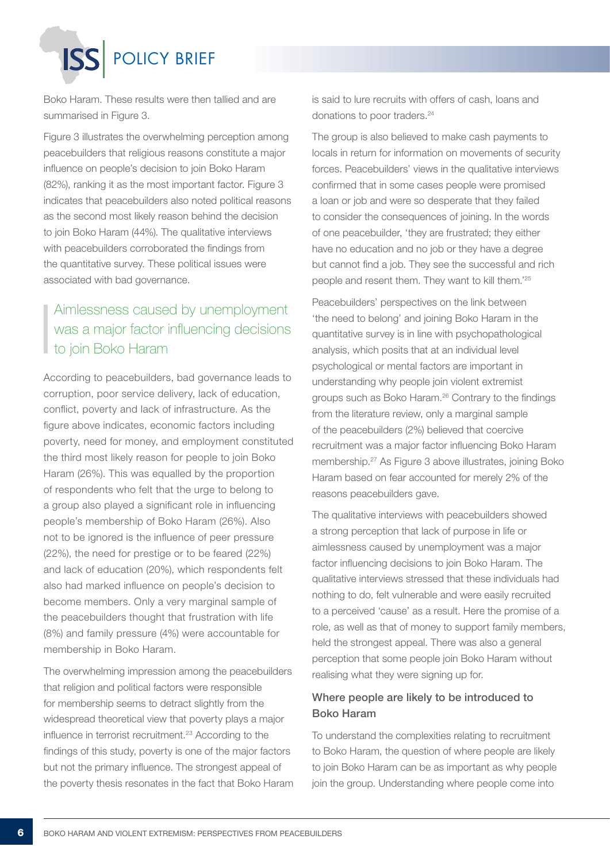Boko Haram. These results were then tallied and are summarised in Figure 3.

Figure 3 illustrates the overwhelming perception among peacebuilders that religious reasons constitute a major influence on people's decision to join Boko Haram (82%), ranking it as the most important factor. Figure 3 indicates that peacebuilders also noted political reasons as the second most likely reason behind the decision to join Boko Haram (44%). The qualitative interviews with peacebuilders corroborated the findings from the quantitative survey. These political issues were associated with bad governance.

# Aimlessness caused by unemployment was a major factor influencing decisions to join Boko Haram

According to peacebuilders, bad governance leads to corruption, poor service delivery, lack of education, conflict, poverty and lack of infrastructure. As the figure above indicates, economic factors including poverty, need for money, and employment constituted the third most likely reason for people to join Boko Haram (26%). This was equalled by the proportion of respondents who felt that the urge to belong to a group also played a significant role in influencing people's membership of Boko Haram (26%). Also not to be ignored is the influence of peer pressure (22%), the need for prestige or to be feared (22%) and lack of education (20%), which respondents felt also had marked influence on people's decision to become members. Only a very marginal sample of the peacebuilders thought that frustration with life (8%) and family pressure (4%) were accountable for membership in Boko Haram.

The overwhelming impression among the peacebuilders that religion and political factors were responsible for membership seems to detract slightly from the widespread theoretical view that poverty plays a major influence in terrorist recruitment.<sup>23</sup> According to the findings of this study, poverty is one of the major factors but not the primary influence. The strongest appeal of the poverty thesis resonates in the fact that Boko Haram is said to lure recruits with offers of cash, loans and donations to poor traders.<sup>24</sup>

The group is also believed to make cash payments to locals in return for information on movements of security forces. Peacebuilders' views in the qualitative interviews confirmed that in some cases people were promised a loan or job and were so desperate that they failed to consider the consequences of joining. In the words of one peacebuilder, 'they are frustrated; they either have no education and no job or they have a degree but cannot find a job. They see the successful and rich people and resent them. They want to kill them.'25

Peacebuilders' perspectives on the link between 'the need to belong' and joining Boko Haram in the quantitative survey is in line with psychopathological analysis, which posits that at an individual level psychological or mental factors are important in understanding why people join violent extremist groups such as Boko Haram.<sup>26</sup> Contrary to the findings from the literature review, only a marginal sample of the peacebuilders (2%) believed that coercive recruitment was a major factor influencing Boko Haram membership.27 As Figure 3 above illustrates, joining Boko Haram based on fear accounted for merely 2% of the reasons peacebuilders gave.

The qualitative interviews with peacebuilders showed a strong perception that lack of purpose in life or aimlessness caused by unemployment was a major factor influencing decisions to join Boko Haram. The qualitative interviews stressed that these individuals had nothing to do, felt vulnerable and were easily recruited to a perceived 'cause' as a result. Here the promise of a role, as well as that of money to support family members, held the strongest appeal. There was also a general perception that some people join Boko Haram without realising what they were signing up for.

# **Where people are likely to be introduced to Boko Haram**

To understand the complexities relating to recruitment to Boko Haram, the question of where people are likely to join Boko Haram can be as important as why people join the group. Understanding where people come into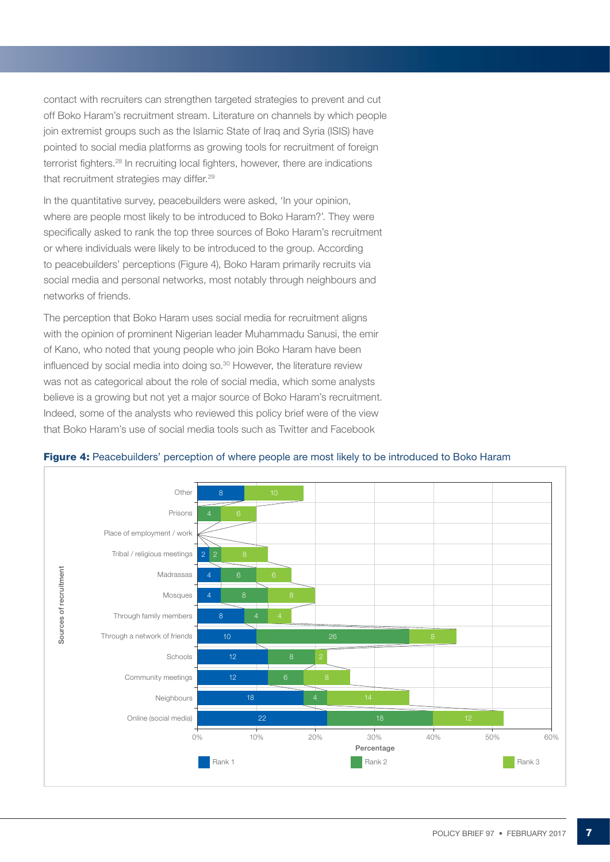contact with recruiters can strengthen targeted strategies to prevent and cut off Boko Haram's recruitment stream. Literature on channels by which people join extremist groups such as the Islamic State of Iraq and Syria (ISIS) have pointed to social media platforms as growing tools for recruitment of foreign terrorist fighters.<sup>28</sup> In recruiting local fighters, however, there are indications that recruitment strategies may differ.<sup>29</sup>

In the quantitative survey, peacebuilders were asked, 'In your opinion, where are people most likely to be introduced to Boko Haram?'. They were specifically asked to rank the top three sources of Boko Haram's recruitment or where individuals were likely to be introduced to the group. According to peacebuilders' perceptions (Figure 4), Boko Haram primarily recruits via social media and personal networks, most notably through neighbours and networks of friends.

The perception that Boko Haram uses social media for recruitment aligns with the opinion of prominent Nigerian leader Muhammadu Sanusi, the emir of Kano, who noted that young people who join Boko Haram have been influenced by social media into doing so.<sup>30</sup> However, the literature review was not as categorical about the role of social media, which some analysts believe is a growing but not yet a major source of Boko Haram's recruitment. Indeed, some of the analysts who reviewed this policy brief were of the view that Boko Haram's use of social media tools such as Twitter and Facebook



#### **Figure 4:** Peacebuilders' perception of where people are most likely to be introduced to Boko Haram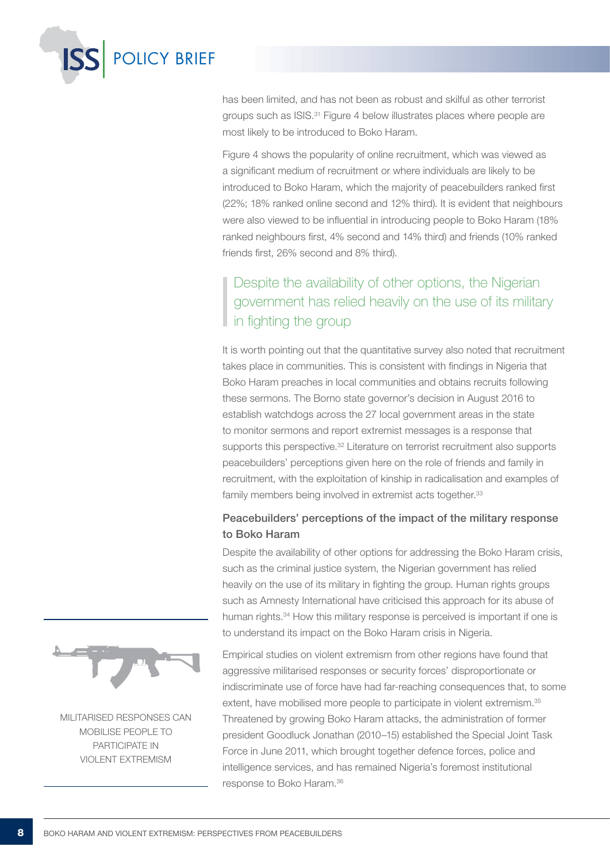

has been limited, and has not been as robust and skilful as other terrorist groups such as ISIS.<sup>31</sup> Figure 4 below illustrates places where people are most likely to be introduced to Boko Haram.

Figure 4 shows the popularity of online recruitment, which was viewed as a significant medium of recruitment or where individuals are likely to be introduced to Boko Haram, which the majority of peacebuilders ranked first (22%; 18% ranked online second and 12% third). It is evident that neighbours were also viewed to be influential in introducing people to Boko Haram (18%) ranked neighbours first, 4% second and 14% third) and friends (10% ranked friends first, 26% second and 8% third).

# Despite the availability of other options, the Nigerian government has relied heavily on the use of its military  $\blacksquare$  in fighting the group

It is worth pointing out that the quantitative survey also noted that recruitment takes place in communities. This is consistent with findings in Nigeria that Boko Haram preaches in local communities and obtains recruits following these sermons. The Borno state governor's decision in August 2016 to establish watchdogs across the 27 local government areas in the state to monitor sermons and report extremist messages is a response that supports this perspective.<sup>32</sup> Literature on terrorist recruitment also supports peacebuilders' perceptions given here on the role of friends and family in recruitment, with the exploitation of kinship in radicalisation and examples of family members being involved in extremist acts together.<sup>33</sup>

# **Peacebuilders' perceptions of the impact of the military response to Boko Haram**

Despite the availability of other options for addressing the Boko Haram crisis, such as the criminal justice system, the Nigerian government has relied heavily on the use of its military in fighting the group. Human rights groups such as Amnesty International have criticised this approach for its abuse of human rights.<sup>34</sup> How this military response is perceived is important if one is to understand its impact on the Boko Haram crisis in Nigeria.

Empirical studies on violent extremism from other regions have found that aggressive militarised responses or security forces' disproportionate or indiscriminate use of force have had far-reaching consequences that, to some extent, have mobilised more people to participate in violent extremism.<sup>35</sup> Threatened by growing Boko Haram attacks, the administration of former president Goodluck Jonathan (2010–15) established the Special Joint Task Force in June 2011, which brought together defence forces, police and intelligence services, and has remained Nigeria's foremost institutional response to Boko Haram.36



MILITARISED RESPONSES CAN MOBILISE PEOPLE TO PARTICIPATE IN VIOLENT EXTREMISM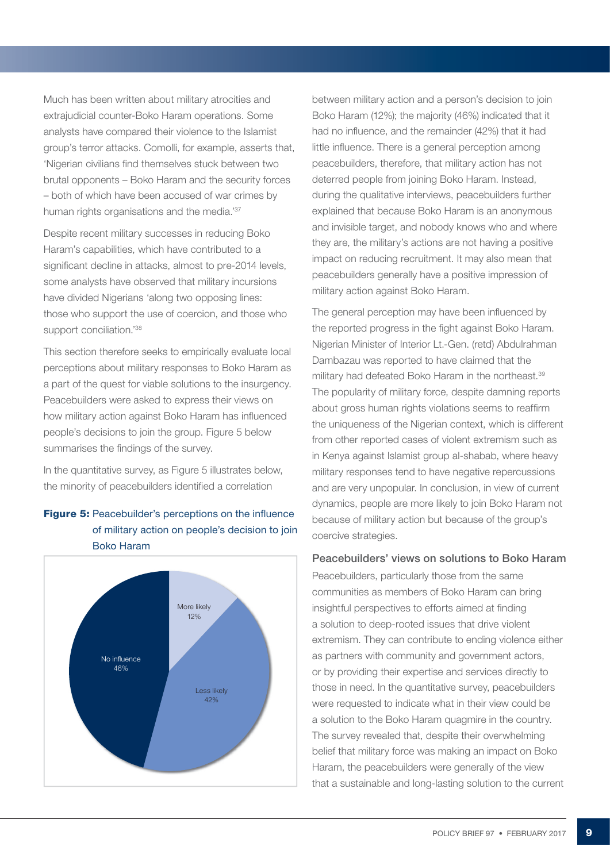Much has been written about military atrocities and extrajudicial counter-Boko Haram operations. Some analysts have compared their violence to the Islamist group's terror attacks. Comolli, for example, asserts that, 'Nigerian civilians find themselves stuck between two brutal opponents – Boko Haram and the security forces – both of which have been accused of war crimes by human rights organisations and the media.<sup>'37</sup>

Despite recent military successes in reducing Boko Haram's capabilities, which have contributed to a significant decline in attacks, almost to pre-2014 levels, some analysts have observed that military incursions have divided Nigerians 'along two opposing lines: those who support the use of coercion, and those who support conciliation.'38

This section therefore seeks to empirically evaluate local perceptions about military responses to Boko Haram as a part of the quest for viable solutions to the insurgency. Peacebuilders were asked to express their views on how military action against Boko Haram has influenced people's decisions to join the group. Figure 5 below summarises the findings of the survey.

In the quantitative survey, as Figure 5 illustrates below, the minority of peacebuilders identified a correlation

# **Figure 5:** Peacebuilder's perceptions on the influence of military action on people's decision to join Boko Haram



between military action and a person's decision to join Boko Haram (12%); the majority (46%) indicated that it had no influence, and the remainder (42%) that it had little influence. There is a general perception among peacebuilders, therefore, that military action has not deterred people from joining Boko Haram. Instead, during the qualitative interviews, peacebuilders further explained that because Boko Haram is an anonymous and invisible target, and nobody knows who and where they are, the military's actions are not having a positive impact on reducing recruitment. It may also mean that peacebuilders generally have a positive impression of military action against Boko Haram.

The general perception may have been influenced by the reported progress in the fight against Boko Haram. Nigerian Minister of Interior Lt.-Gen. (retd) Abdulrahman Dambazau was reported to have claimed that the military had defeated Boko Haram in the northeast.39 The popularity of military force, despite damning reports about gross human rights violations seems to reaffirm the uniqueness of the Nigerian context, which is different from other reported cases of violent extremism such as in Kenya against Islamist group al-shabab, where heavy military responses tend to have negative repercussions and are very unpopular. In conclusion, in view of current dynamics, people are more likely to join Boko Haram not because of military action but because of the group's coercive strategies.

#### **Peacebuilders' views on solutions to Boko Haram**

Peacebuilders, particularly those from the same communities as members of Boko Haram can bring insightful perspectives to efforts aimed at finding a solution to deep-rooted issues that drive violent extremism. They can contribute to ending violence either as partners with community and government actors, or by providing their expertise and services directly to those in need. In the quantitative survey, peacebuilders were requested to indicate what in their view could be a solution to the Boko Haram quagmire in the country. The survey revealed that, despite their overwhelming belief that military force was making an impact on Boko Haram, the peacebuilders were generally of the view that a sustainable and long-lasting solution to the current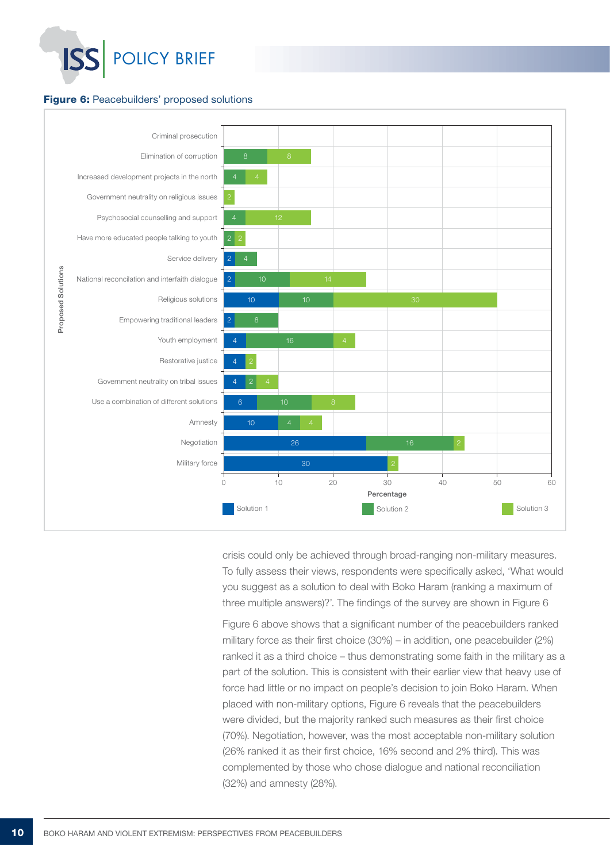## **Figure 6:** Peacebuilders' proposed solutions

POLICY BRIEF



crisis could only be achieved through broad-ranging non-military measures. To fully assess their views, respondents were specifically asked, 'What would you suggest as a solution to deal with Boko Haram (ranking a maximum of three multiple answers)?'. The findings of the survey are shown in Figure 6

Figure 6 above shows that a significant number of the peacebuilders ranked military force as their first choice  $(30\%)$  – in addition, one peacebuilder  $(2\%)$ ranked it as a third choice – thus demonstrating some faith in the military as a part of the solution. This is consistent with their earlier view that heavy use of force had little or no impact on people's decision to join Boko Haram. When placed with non-military options, Figure 6 reveals that the peacebuilders were divided, but the majority ranked such measures as their first choice (70%). Negotiation, however, was the most acceptable non-military solution (26% ranked it as their first choice, 16% second and 2% third). This was complemented by those who chose dialogue and national reconciliation (32%) and amnesty (28%).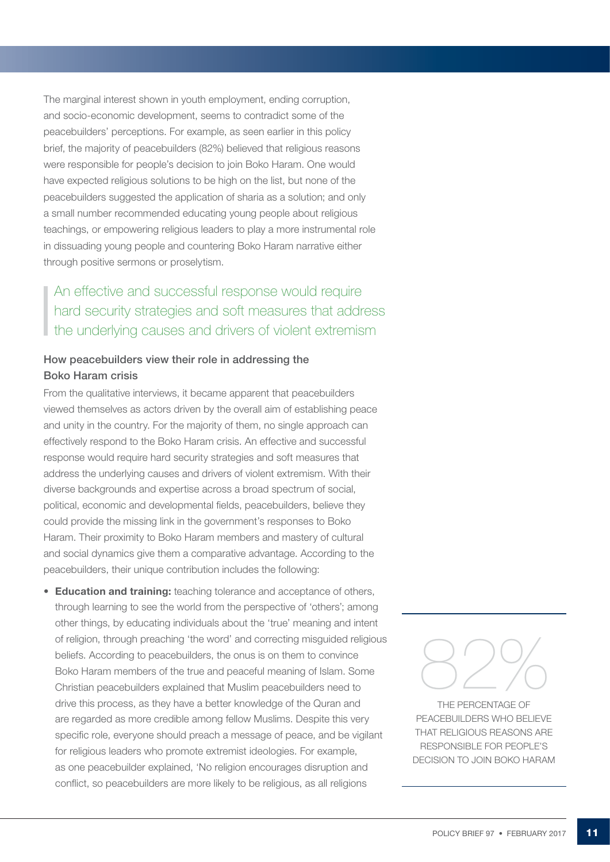The marginal interest shown in youth employment, ending corruption, and socio-economic development, seems to contradict some of the peacebuilders' perceptions. For example, as seen earlier in this policy brief, the majority of peacebuilders (82%) believed that religious reasons were responsible for people's decision to join Boko Haram. One would have expected religious solutions to be high on the list, but none of the peacebuilders suggested the application of sharia as a solution; and only a small number recommended educating young people about religious teachings, or empowering religious leaders to play a more instrumental role in dissuading young people and countering Boko Haram narrative either through positive sermons or proselytism.

# An effective and successful response would require hard security strategies and soft measures that address the underlying causes and drivers of violent extremism

# **How peacebuilders view their role in addressing the Boko Haram crisis**

From the qualitative interviews, it became apparent that peacebuilders viewed themselves as actors driven by the overall aim of establishing peace and unity in the country. For the majority of them, no single approach can effectively respond to the Boko Haram crisis. An effective and successful response would require hard security strategies and soft measures that address the underlying causes and drivers of violent extremism. With their diverse backgrounds and expertise across a broad spectrum of social, political, economic and developmental fields, peacebuilders, believe they could provide the missing link in the government's responses to Boko Haram. Their proximity to Boko Haram members and mastery of cultural and social dynamics give them a comparative advantage. According to the peacebuilders, their unique contribution includes the following:

**• Education and training:** teaching tolerance and acceptance of others, through learning to see the world from the perspective of 'others'; among other things, by educating individuals about the 'true' meaning and intent of religion, through preaching 'the word' and correcting misguided religious beliefs. According to peacebuilders, the onus is on them to convince Boko Haram members of the true and peaceful meaning of Islam. Some Christian peacebuilders explained that Muslim peacebuilders need to drive this process, as they have a better knowledge of the Quran and are regarded as more credible among fellow Muslims. Despite this very specific role, everyone should preach a message of peace, and be vigilant for religious leaders who promote extremist ideologies. For example, as one peacebuilder explained, 'No religion encourages disruption and conflict, so peacebuilders are more likely to be religious, as all religions



THE PERCENTAGE OF PEACEBUILDERS WHO BELIEVE THAT RELIGIOUS REASONS ARE RESPONSIBLE FOR PEOPLE'S DECISION TO JOIN BOKO HARAM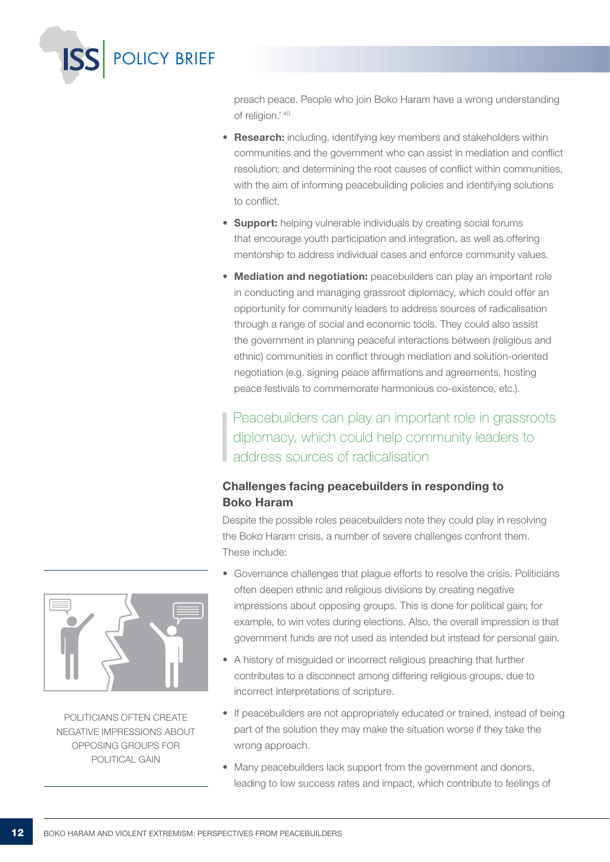preach peace. People who join Boko Haram have a wrong understanding of religion.' 40

- **Research:** including, identifying key members and stakeholders within communities and the government who can assist in mediation and conflict resolution; and determining the root causes of conflict within communities, with the aim of informing peacebuilding policies and identifying solutions to conflict.
- **Support:** helping vulnerable individuals by creating social forums that encourage youth participation and integration, as well as offering mentorship to address individual cases and enforce community values.
- **Mediation and negotiation:** peacebuilders can play an important role in conducting and managing grassroot diplomacy, which could offer an opportunity for community leaders to address sources of radicalisation through a range of social and economic tools. They could also assist the government in planning peaceful interactions between (religious and ethnic) communities in conflict through mediation and solution-oriented negotiation (e.g. signing peace affirmations and agreements, hosting peace festivals to commemorate harmonious co-existence, etc.).

Peacebuilders can play an important role in grassroots diplomacy, which could help community leaders to address sources of radicalisation

# **Challenges facing peacebuilders in responding to Boko Haram**

Despite the possible roles peacebuilders note they could play in resolving the Boko Haram crisis, a number of severe challenges confront them. These include:

- Governance challenges that plague efforts to resolve the crisis. Politicians often deepen ethnic and religious divisions by creating negative impressions about opposing groups. This is done for political gain; for example, to win votes during elections. Also, the overall impression is that government funds are not used as intended but instead for personal gain.
- A history of misguided or incorrect religious preaching that further contributes to a disconnect among differing religious groups, due to incorrect interpretations of scripture.
- If peacebuilders are not appropriately educated or trained, instead of being part of the solution they may make the situation worse if they take the wrong approach.
- Many peacebuilders lack support from the government and donors, leading to low success rates and impact, which contribute to feelings of



POLITICIANS OFTEN CREATE NEGATIVE IMPRESSIONS ABOUT OPPOSING GROUPS FOR POLITICAL GAIN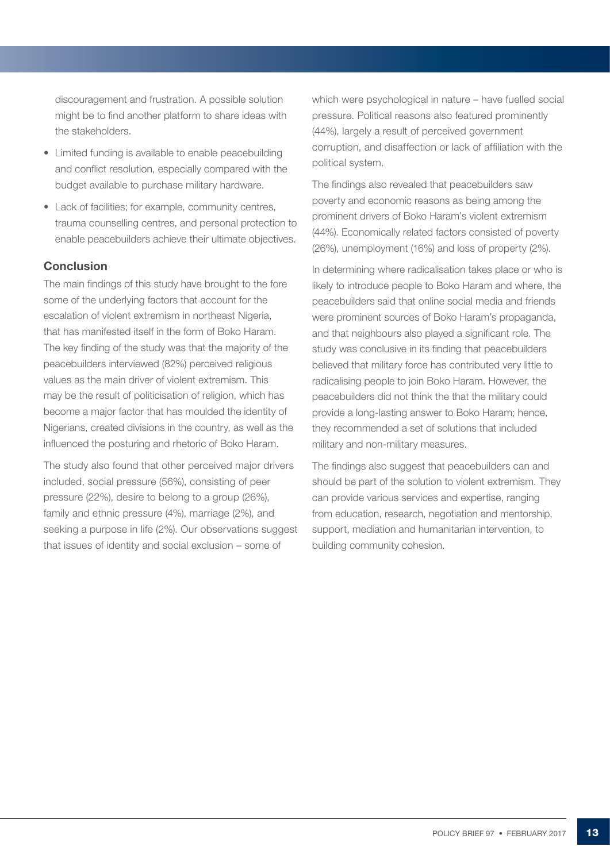discouragement and frustration. A possible solution might be to find another platform to share ideas with the stakeholders.

- Limited funding is available to enable peacebuilding and conflict resolution, especially compared with the budget available to purchase military hardware.
- Lack of facilities; for example, community centres, trauma counselling centres, and personal protection to enable peacebuilders achieve their ultimate objectives.

# **Conclusion**

The main findings of this study have brought to the fore some of the underlying factors that account for the escalation of violent extremism in northeast Nigeria, that has manifested itself in the form of Boko Haram. The key finding of the study was that the majority of the peacebuilders interviewed (82%) perceived religious values as the main driver of violent extremism. This may be the result of politicisation of religion, which has become a major factor that has moulded the identity of Nigerians, created divisions in the country, as well as the influenced the posturing and rhetoric of Boko Haram.

The study also found that other perceived major drivers included, social pressure (56%), consisting of peer pressure (22%), desire to belong to a group (26%), family and ethnic pressure (4%), marriage (2%), and seeking a purpose in life (2%). Our observations suggest that issues of identity and social exclusion – some of

which were psychological in nature – have fuelled social pressure. Political reasons also featured prominently (44%), largely a result of perceived government corruption, and disaffection or lack of affiliation with the political system.

The findings also revealed that peacebuilders saw poverty and economic reasons as being among the prominent drivers of Boko Haram's violent extremism (44%). Economically related factors consisted of poverty (26%), unemployment (16%) and loss of property (2%).

In determining where radicalisation takes place or who is likely to introduce people to Boko Haram and where, the peacebuilders said that online social media and friends were prominent sources of Boko Haram's propaganda, and that neighbours also played a significant role. The study was conclusive in its finding that peacebuilders believed that military force has contributed very little to radicalising people to join Boko Haram. However, the peacebuilders did not think the that the military could provide a long-lasting answer to Boko Haram; hence, they recommended a set of solutions that included military and non-military measures.

The findings also suggest that peacebuilders can and should be part of the solution to violent extremism. They can provide various services and expertise, ranging from education, research, negotiation and mentorship, support, mediation and humanitarian intervention, to building community cohesion.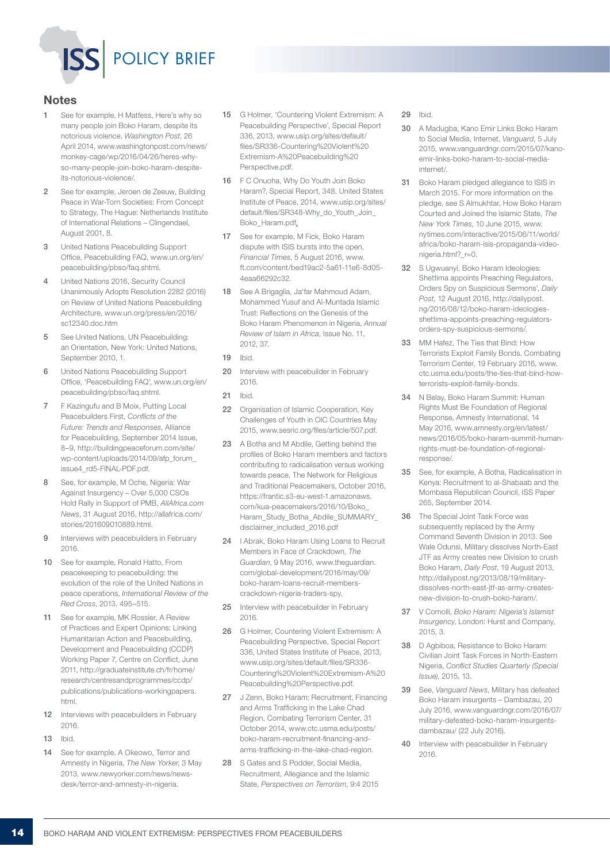# **Notes**

- **1** See for example, H Matfess, Here's why so many people join Boko Haram, despite its notorious violence, Washington Post, 26 April 2014, www.washingtonpost.com/news/ monkey-cage/wp/2016/04/26/heres-whyso-many-people-join-boko-haram-despiteits-notorious-violence/.
- **2** See for example, Jeroen de Zeeuw, Building Peace in War-Torn Societies: From Concept to Strategy, The Hague: Netherlands Institute of International Relations – Clingendael, August 2001, 8.
- **3** United Nations Peacebuilding Support Office, Peacebuilding FAQ, www.un.org/en/ peacebuilding/pbso/faq.shtml.
- **4** United Nations 2016, Security Council Unanimously Adopts Resolution 2282 (2016) on Review of United Nations Peacebuilding Architecture, www.un.org/press/en/2016/ sc12340.doc.htm
- **5** See United Nations, UN Peacebuilding: an Orientation, New York: United Nations, September 2010, 1.
- **6** United Nations Peacebuilding Support Office, 'Peacebuilding FAQ', www.un.org/en/ peacebuilding/pbso/faq.shtml.
- **7** F Kazingufu and B Moix, Putting Local Peacebuilders First, Conflicts of the Future: Trends and Responses, Alliance for Peacebuilding, September 2014 Issue, 8–9, http://buildingpeaceforum.com/site/ wp-content/uploads/2014/09/afp\_forum\_ issue4\_rd5-FINAL-PDF.pdf.
- **8** See, for example, M Oche, Nigeria: War Against Insurgency – Over 5,000 CSOs Hold Rally in Support of PMB, AllAfrica.com News, 31 August 2016, http://allafrica.com/ stories/201609010889.html.
- **9** Interviews with peacebuilders in February 2016.
- **10** See for example, Ronald Hatto, From peacekeeping to peacebuilding: the evolution of the role of the United Nations in peace operations, International Review of the Red Cross, 2013, 495–515.
- **11** See for example, MK Rossier, A Review of Practices and Expert Opinions: Linking Humanitarian Action and Peacebuilding, Development and Peacebuilding (CCDP) Working Paper 7, Centre on Conflict, June 2011, http://graduateinstitute.ch/fr/home/ research/centresandprogrammes/ccdp/ publications/publications-workingpapers. html.
- **12** Interviews with peacebuilders in February 2016.
- **13** Ibid.
- **14** See for example, A Okeowo, Terror and Amnesty in Nigeria, The New Yorker, 3 May 2013, www.newyorker.com/news/newsdesk/terror-and-amnesty-in-nigeria.
- **15** G Holmer, 'Countering Violent Extremism: A Peacebuilding Perspective', Special Report 336, 2013, www.usip.org/sites/default/ files/SR336-Countering%20Violent%20 Extremism-A%20Peacebuilding%20 Perspective.pdf.
- **16** F C Onuoha, Why Do Youth Join Boko Haram?, Special Report, 348, United States Institute of Peace, 2014, www.usip.org/sites/ default/files/SR348-Why\_do\_Youth\_Join\_ Boko\_Haram.pdf.
- **17** See for example, M Fick, Boko Haram dispute with ISIS bursts into the open, Financial Times, 5 August 2016, www. ft.com/content/bed19ac2-5a61-11e6-8d05- 4eaa66292c32.
- **18** See A Brigaglia, Ja'far Mahmoud Adam, Mohammed Yusuf and Al-Muntada Islamic Trust: Reflections on the Genesis of the Boko Haram Phenomenon in Nigeria, Annual Review of Islam in Africa, Issue No. 11, 2012, 37.
- **19** Ibid.
- **20** Interview with peacebuilder in February 2016.
- **21** Ibid.
- **22** Organisation of Islamic Cooperation, Key Challenges of Youth in OIC Countries May 2015, www.sesric.org/files/article/507.pdf.
- **23** A Botha and M Abdile, Getting behind the profiles of Boko Haram members and factors contributing to radicalisation versus working towards peace, The Network for Religious and Traditional Peacemakers, October 2016, https://frantic.s3-eu-west-1.amazonaws. com/kua-peacemakers/2016/10/Boko\_ Haram\_Study\_Botha\_Abdile\_SUMMARY\_ disclaimer\_included\_2016.pdf
- **24** I Abrak, Boko Haram Using Loans to Recruit Members in Face of Crackdown, The Guardian, 9 May 2016, www.theguardian. com/global-development/2016/may/09/ boko-haram-loans-recruit-memberscrackdown-nigeria-traders-spy.
- **25** Interview with peacebuilder in February 2016.
- **26** G Holmer, Countering Violent Extremism: A Peacebuilding Perspective, Special Report 336, United States Institute of Peace, 2013, www.usip.org/sites/default/files/SR336-Countering%20Violent%20Extremism-A%20 Peacebuilding%20Perspective.pdf.
- **27** J Zenn, Boko Haram: Recruitment, Financing and Arms Trafficking in the Lake Chad Region, Combating Terrorism Center, 31 October 2014, www.ctc.usma.edu/posts/ boko-haram-recruitment-financing-andarms-trafficking-in-the-lake-chad-region.
- **28** S Gates and S Podder, Social Media, Recruitment, Allegiance and the Islamic State, Perspectives on Terrorism, 9:4 2015

#### **29** Ibid.

- **30** A Madugba, Kano Emir Links Boko Haram to Social Media, Internet, Vanguard, 5 July 2015, www.vanguardngr.com/2015/07/kanoemir-links-boko-haram-to-social-mediainternet/.
- **31** Boko Haram pledged allegiance to ISIS in March 2015. For more information on the pledge, see S Almukhtar, How Boko Haram Courted and Joined the Islamic State, The New York Times, 10 June 2015, www. nytimes.com/interactive/2015/06/11/world/ africa/boko-haram-isis-propaganda-videonigeria.html? r=0.
- **32** S Ugwuanyi, Boko Haram Ideologies: Shettima appoints Preaching Regulators, Orders Spy on Suspicious Sermons', Daily Post, 12 August 2016, http://dailypost. ng/2016/08/12/boko-haram-ideologiesshettima-appoints-preaching-regulatorsorders-spy-suspicious-sermons/.
- **33** MM Hafez, The Ties that Bind: How Terrorists Exploit Family Bonds, Combating Terrorism Center, 19 February 2016, www. ctc.usma.edu/posts/the-ties-that-bind-howterrorists-exploit-family-bonds.
- **34** N Belay, Boko Haram Summit: Human Rights Must Be Foundation of Regional Response, Amnesty International, 14 May 2016, www.amnesty.org/en/latest/ news/2016/05/boko-haram-summit-humanrights-must-be-foundation-of-regionalresponse/.
- **35** See, for example, A Botha, Radicalisation in Kenya: Recruitment to al-Shabaab and the Mombasa Republican Council, ISS Paper 265, September 2014.
- **36** The Special Joint Task Force was subsequently replaced by the Army Command Seventh Division in 2013. See Wale Odunsi, Military dissolves North-East JTF as Army creates new Division to crush Boko Haram, Daily Post, 19 August 2013, http://dailypost.ng/2013/08/19/militarydissolves-north-east-jtf-as-army-createsnew-division-to-crush-boko-haram/.
- **37** V Comolli, Boko Haram: Nigeria's Islamist Insurgency, London: Hurst and Company, 2015, 3.
- **38** D Agbiboa, Resistance to Boko Haram: Civilian Joint Task Forces in North-Eastern Nigeria, Conflict Studies Quarterly (Special Issue), 2015, 13.
- **39** See, Vanguard News, Military has defeated Boko Haram insurgents – Dambazau, 20 July 2016, www.vanguardngr.com/2016/07/ military-defeated-boko-haram-insurgentsdambazau/ (22 July 2016).
- **40** Interview with peacebuilder in February 2016.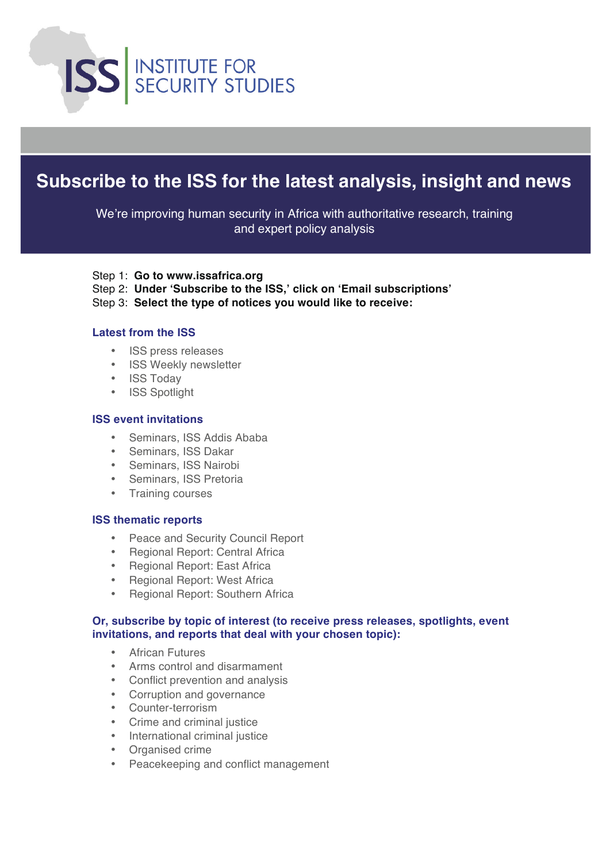

# **Subscribe to the ISS for the latest analysis, insight and news**

We're improving human security in Africa with authoritative research, training and expert policy analysis

- Step 1: **Go to www.issafrica.org**
- Step 2: **Under 'Subscribe to the ISS,' click on 'Email subscriptions'**
- Step 3: **Select the type of notices you would like to receive:**

## **Latest from the ISS**

- ISS press releases
- ISS Weekly newsletter
- ISS Today
- ISS Spotlight

## **ISS event invitations**

- Seminars, ISS Addis Ababa
- Seminars, ISS Dakar
- Seminars, ISS Nairobi
- Seminars, ISS Pretoria
- Training courses

#### **ISS thematic reports**

- Peace and Security Council Report
- Regional Report: Central Africa
- Regional Report: East Africa
- Regional Report: West Africa
- Regional Report: Southern Africa

#### **Or, subscribe by topic of interest (to receive press releases, spotlights, event invitations, and reports that deal with your chosen topic):**

- African Futures
- Arms control and disarmament
- Conflict prevention and analysis
- Corruption and governance
- Counter-terrorism
- Crime and criminal justice
- International criminal justice
- Organised crime
- Peacekeeping and conflict management